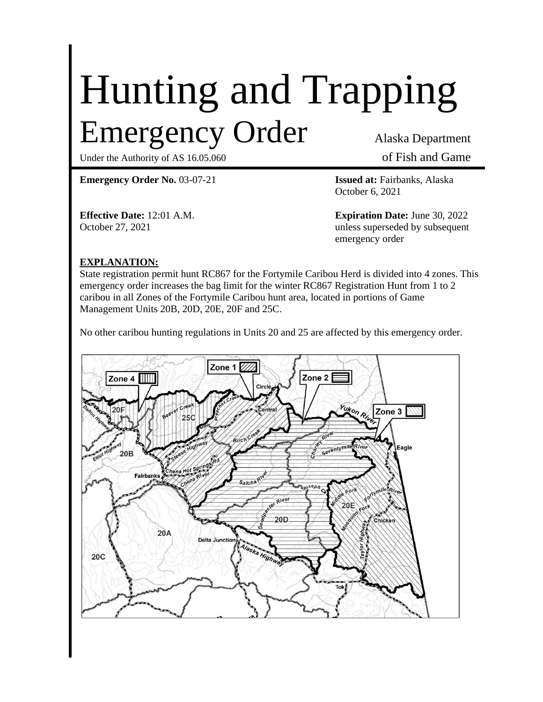# Hunting and Trapping Emergency Order Alaska Department

Under the Authority of AS 16.05.060 of Fish and Game

**Emergency Order No.** 03-07-21 **Issued at:** Fairbanks, Alaska

October 6, 2021

**Effective Date:** 12:01 A.M. **Expiration Date:** June 30, 2022 October 27, 2021 unless superseded by subsequent emergency order

## **EXPLANATION:**

State registration permit hunt RC867 for the Fortymile Caribou Herd is divided into 4 zones. This emergency order increases the bag limit for the winter RC867 Registration Hunt from 1 to 2 caribou in all Zones of the Fortymile Caribou hunt area, located in portions of Game Management Units 20B, 20D, 20E, 20F and 25C.

No other caribou hunting regulations in Units 20 and 25 are affected by this emergency order.

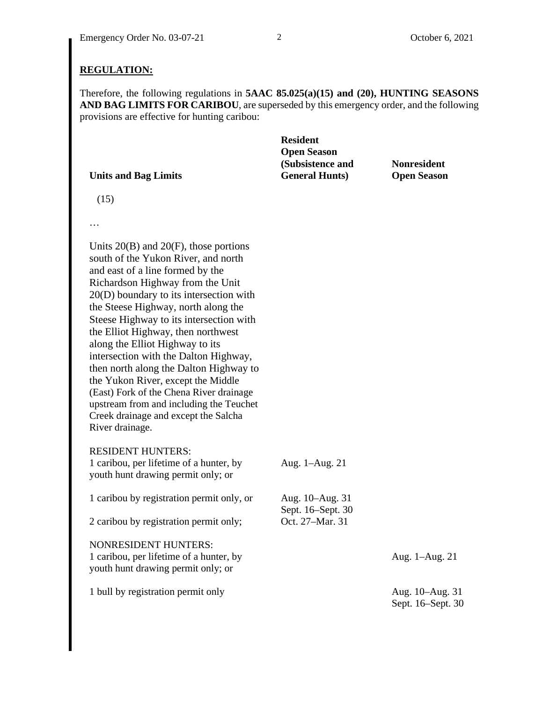#### **REGULATION:**

Therefore, the following regulations in **5AAC 85.025(a)(15) and (20), HUNTING SEASONS AND BAG LIMITS FOR CARIBOU**, are superseded by this emergency order, and the following provisions are effective for hunting caribou:

| <b>Nonresident</b> |
|--------------------|
| <b>Open Season</b> |
|                    |

(15)

…

Units 20(B) and 20(F), those portions south of the Yukon River, and north and east of a line formed by the Richardson Highway from the Unit 20(D) boundary to its intersection with the Steese Highway, north along the Steese Highway to its intersection with the Elliot Highway, then northwest along the Elliot Highway to its intersection with the Dalton Highway, then north along the Dalton Highway to the Yukon River, except the Middle (East) Fork of the Chena River drainage upstream from and including the Teuchet Creek drainage and except the Salcha River drainage.

RESIDENT HUNTERS:

| 1 caribou, per lifetime of a hunter, by<br>youth hunt drawing permit only; or                                | Aug. 1-Aug. 21                       |                                      |
|--------------------------------------------------------------------------------------------------------------|--------------------------------------|--------------------------------------|
| 1 caribou by registration permit only, or                                                                    | Aug. 10–Aug. 31<br>Sept. 16–Sept. 30 |                                      |
| 2 caribou by registration permit only;                                                                       | Oct. 27-Mar. 31                      |                                      |
| <b>NONRESIDENT HUNTERS:</b><br>1 caribou, per lifetime of a hunter, by<br>youth hunt drawing permit only; or |                                      | Aug. 1-Aug. 21                       |
| 1 bull by registration permit only                                                                           |                                      | Aug. 10–Aug. 31<br>Sept. 16–Sept. 30 |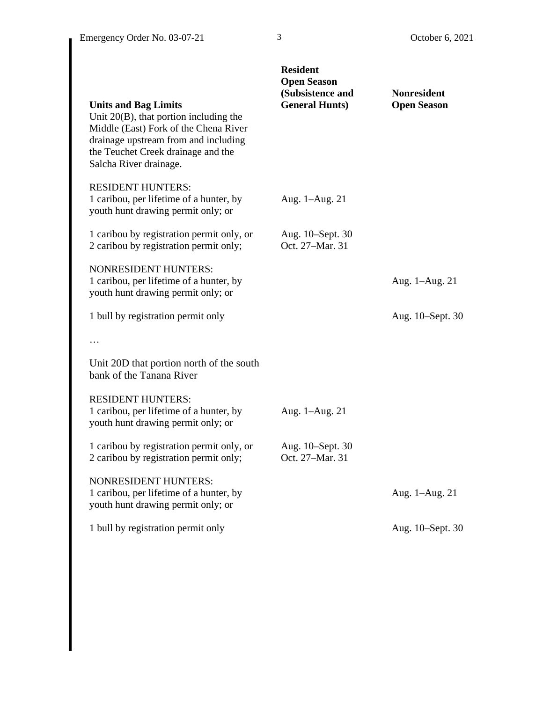| <b>Units and Bag Limits</b><br>Unit 20(B), that portion including the<br>Middle (East) Fork of the Chena River<br>drainage upstream from and including<br>the Teuchet Creek drainage and the | <b>Resident</b><br><b>Open Season</b><br>(Subsistence and<br><b>General Hunts)</b> | <b>Nonresident</b><br><b>Open Season</b> |
|----------------------------------------------------------------------------------------------------------------------------------------------------------------------------------------------|------------------------------------------------------------------------------------|------------------------------------------|
| Salcha River drainage.<br><b>RESIDENT HUNTERS:</b><br>1 caribou, per lifetime of a hunter, by<br>youth hunt drawing permit only; or                                                          | Aug. 1–Aug. 21                                                                     |                                          |
| 1 caribou by registration permit only, or<br>2 caribou by registration permit only;                                                                                                          | Aug. 10–Sept. 30<br>Oct. 27-Mar. 31                                                |                                          |
| <b>NONRESIDENT HUNTERS:</b><br>1 caribou, per lifetime of a hunter, by<br>youth hunt drawing permit only; or                                                                                 |                                                                                    | Aug. 1-Aug. 21                           |
| 1 bull by registration permit only                                                                                                                                                           |                                                                                    | Aug. 10–Sept. 30                         |
|                                                                                                                                                                                              |                                                                                    |                                          |
| Unit 20D that portion north of the south<br>bank of the Tanana River                                                                                                                         |                                                                                    |                                          |
| <b>RESIDENT HUNTERS:</b><br>1 caribou, per lifetime of a hunter, by<br>youth hunt drawing permit only; or                                                                                    | Aug. 1–Aug. 21                                                                     |                                          |
| 1 caribou by registration permit only, or<br>2 caribou by registration permit only;                                                                                                          | Aug. 10–Sept. 30<br>Oct. 27-Mar. 31                                                |                                          |
| <b>NONRESIDENT HUNTERS:</b><br>1 caribou, per lifetime of a hunter, by<br>youth hunt drawing permit only; or                                                                                 |                                                                                    | Aug. 1-Aug. 21                           |
| 1 bull by registration permit only                                                                                                                                                           |                                                                                    | Aug. 10-Sept. 30                         |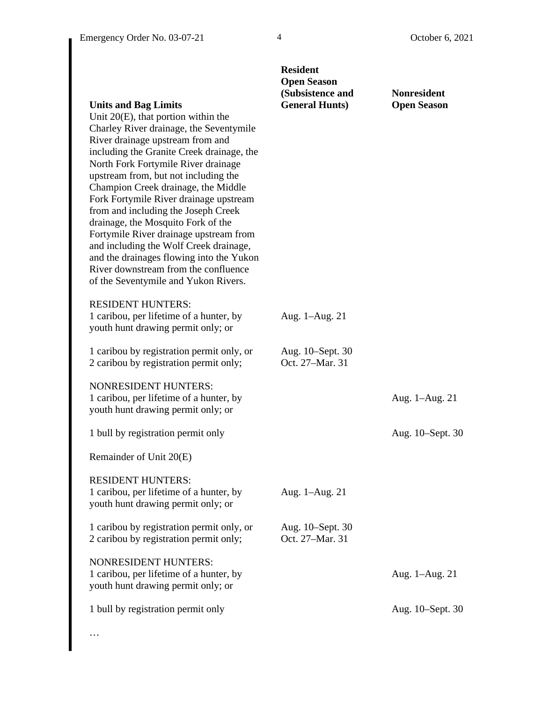|                                                                                                                                                                                                                                                                                                                                                                                                                                                                                                                                                                                                                                                                | <b>Resident</b><br><b>Open Season</b><br>(Subsistence and | <b>Nonresident</b> |
|----------------------------------------------------------------------------------------------------------------------------------------------------------------------------------------------------------------------------------------------------------------------------------------------------------------------------------------------------------------------------------------------------------------------------------------------------------------------------------------------------------------------------------------------------------------------------------------------------------------------------------------------------------------|-----------------------------------------------------------|--------------------|
| <b>Units and Bag Limits</b><br>Unit $20(E)$ , that portion within the<br>Charley River drainage, the Seventymile<br>River drainage upstream from and<br>including the Granite Creek drainage, the<br>North Fork Fortymile River drainage<br>upstream from, but not including the<br>Champion Creek drainage, the Middle<br>Fork Fortymile River drainage upstream<br>from and including the Joseph Creek<br>drainage, the Mosquito Fork of the<br>Fortymile River drainage upstream from<br>and including the Wolf Creek drainage,<br>and the drainages flowing into the Yukon<br>River downstream from the confluence<br>of the Seventymile and Yukon Rivers. | <b>General Hunts</b> )                                    | <b>Open Season</b> |
| <b>RESIDENT HUNTERS:</b><br>1 caribou, per lifetime of a hunter, by<br>youth hunt drawing permit only; or                                                                                                                                                                                                                                                                                                                                                                                                                                                                                                                                                      | Aug. 1-Aug. 21                                            |                    |
| 1 caribou by registration permit only, or<br>2 caribou by registration permit only;                                                                                                                                                                                                                                                                                                                                                                                                                                                                                                                                                                            | Aug. 10–Sept. 30<br>Oct. 27-Mar. 31                       |                    |
| <b>NONRESIDENT HUNTERS:</b><br>1 caribou, per lifetime of a hunter, by<br>youth hunt drawing permit only; or                                                                                                                                                                                                                                                                                                                                                                                                                                                                                                                                                   |                                                           | Aug. 1–Aug. 21     |
| 1 bull by registration permit only                                                                                                                                                                                                                                                                                                                                                                                                                                                                                                                                                                                                                             |                                                           | Aug. 10–Sept. 30   |
| Remainder of Unit 20(E)                                                                                                                                                                                                                                                                                                                                                                                                                                                                                                                                                                                                                                        |                                                           |                    |
| <b>RESIDENT HUNTERS:</b><br>1 caribou, per lifetime of a hunter, by<br>youth hunt drawing permit only; or                                                                                                                                                                                                                                                                                                                                                                                                                                                                                                                                                      | Aug. 1-Aug. 21                                            |                    |
| 1 caribou by registration permit only, or<br>2 caribou by registration permit only;                                                                                                                                                                                                                                                                                                                                                                                                                                                                                                                                                                            | Aug. 10–Sept. 30<br>Oct. 27-Mar. 31                       |                    |
| <b>NONRESIDENT HUNTERS:</b><br>1 caribou, per lifetime of a hunter, by<br>youth hunt drawing permit only; or                                                                                                                                                                                                                                                                                                                                                                                                                                                                                                                                                   |                                                           | Aug. 1-Aug. 21     |
| 1 bull by registration permit only                                                                                                                                                                                                                                                                                                                                                                                                                                                                                                                                                                                                                             |                                                           | Aug. 10–Sept. 30   |

…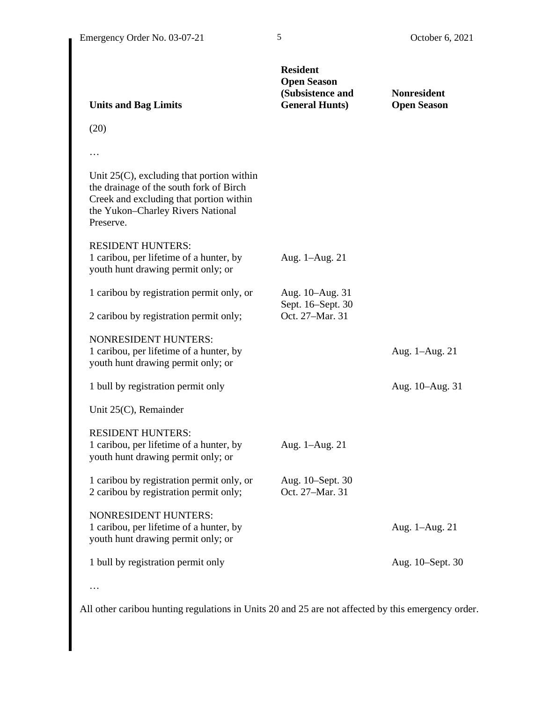| <b>Units and Bag Limits</b>                                                                                                                                                          | <b>Resident</b><br><b>Open Season</b><br>(Subsistence and<br><b>General Hunts)</b> | <b>Nonresident</b><br><b>Open Season</b> |
|--------------------------------------------------------------------------------------------------------------------------------------------------------------------------------------|------------------------------------------------------------------------------------|------------------------------------------|
| (20)                                                                                                                                                                                 |                                                                                    |                                          |
| .                                                                                                                                                                                    |                                                                                    |                                          |
| Unit $25(C)$ , excluding that portion within<br>the drainage of the south fork of Birch<br>Creek and excluding that portion within<br>the Yukon-Charley Rivers National<br>Preserve. |                                                                                    |                                          |
| <b>RESIDENT HUNTERS:</b><br>1 caribou, per lifetime of a hunter, by<br>youth hunt drawing permit only; or                                                                            | Aug. 1–Aug. 21                                                                     |                                          |
| 1 caribou by registration permit only, or<br>2 caribou by registration permit only;                                                                                                  | Aug. 10-Aug. 31<br>Sept. 16–Sept. 30<br>Oct. 27-Mar. 31                            |                                          |
| <b>NONRESIDENT HUNTERS:</b><br>1 caribou, per lifetime of a hunter, by<br>youth hunt drawing permit only; or                                                                         |                                                                                    | Aug. 1-Aug. 21                           |
| 1 bull by registration permit only                                                                                                                                                   |                                                                                    | Aug. 10–Aug. 31                          |
| Unit $25(C)$ , Remainder                                                                                                                                                             |                                                                                    |                                          |
| <b>RESIDENT HUNTERS:</b><br>1 caribou, per lifetime of a hunter, by<br>youth hunt drawing permit only; or                                                                            | Aug. 1-Aug. 21                                                                     |                                          |
| 1 caribou by registration permit only, or<br>2 caribou by registration permit only;                                                                                                  | Aug. 10–Sept. 30<br>Oct. 27-Mar. 31                                                |                                          |
| <b>NONRESIDENT HUNTERS:</b><br>1 caribou, per lifetime of a hunter, by<br>youth hunt drawing permit only; or                                                                         |                                                                                    | Aug. 1-Aug. 21                           |
| 1 bull by registration permit only                                                                                                                                                   |                                                                                    | Aug. 10–Sept. 30                         |
|                                                                                                                                                                                      |                                                                                    |                                          |

All other caribou hunting regulations in Units 20 and 25 are not affected by this emergency order.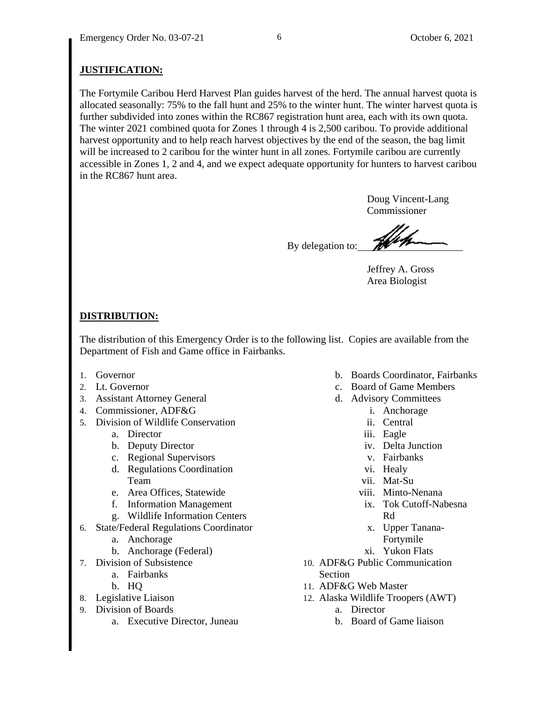# **JUSTIFICATION:**

The Fortymile Caribou Herd Harvest Plan guides harvest of the herd. The annual harvest quota is allocated seasonally: 75% to the fall hunt and 25% to the winter hunt. The winter harvest quota is further subdivided into zones within the RC867 registration hunt area, each with its own quota. The winter 2021 combined quota for Zones 1 through 4 is 2,500 caribou. To provide additional harvest opportunity and to help reach harvest objectives by the end of the season, the bag limit will be increased to 2 caribou for the winter hunt in all zones. Fortymile caribou are currently accessible in Zones 1, 2 and 4, and we expect adequate opportunity for hunters to harvest caribou in the RC867 hunt area.

> Doug Vincent-Lang Commissioner

By delegation to:

Jeffrey A. Gross Area Biologist

## **DISTRIBUTION:**

The distribution of this Emergency Order is to the following list. Copies are available from the Department of Fish and Game office in Fairbanks.

- 1. Governor
- 2. Lt. Governor
- 3. Assistant Attorney General
- 4. Commissioner, ADF&G
- 5. Division of Wildlife Conservation
	- a. Director
	- b. Deputy Director
	- c. Regional Supervisors
	- d. Regulations Coordination Team
	- e. Area Offices, Statewide
	- f. Information Management
	- g. Wildlife Information Centers
- 6. State/Federal Regulations Coordinator
	- a. Anchorage
	- b. Anchorage (Federal)
- 7. Division of Subsistence
	- a. Fairbanks
	- b. HQ
- 8. Legislative Liaison
- 9. Division of Boards
	- a. Executive Director, Juneau
- b. Boards Coordinator, Fairbanks
- c. Board of Game Members
- d. Advisory Committees
	- i. Anchorage
	- ii. Central
	- iii. Eagle
	- iv. Delta Junction
	- v. Fairbanks
	- vi. Healy
	- vii. Mat-Su
	- viii. Minto-Nenana
	- ix. Tok Cutoff-Nabesna Rd
		- x. Upper Tanana-Fortymile
	- xi. Yukon Flats
- 10. ADF&G Public Communication Section
- 11. ADF&G Web Master
- 12. Alaska Wildlife Troopers (AWT)
	- a. Director
	- b. Board of Game liaison